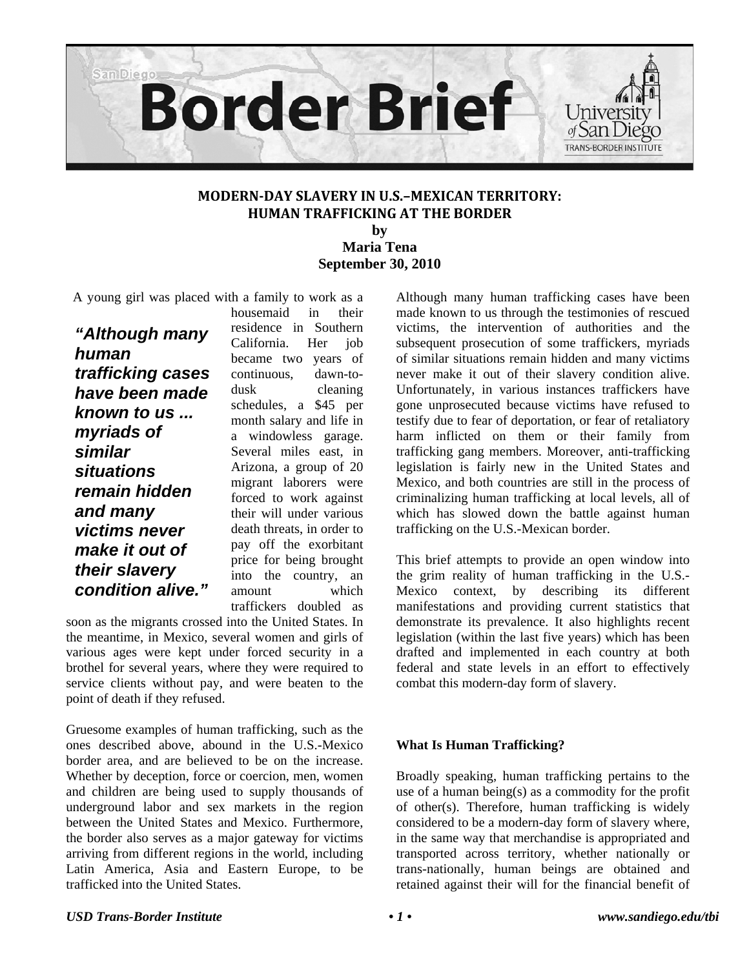

# **MODERNDAY SLAVERY IN U.S.–MEXICAN TERRITORY: HUMAN TRAFFICKING AT THE BORDER**

**by Maria Tena September 30, 2010** 

A young girl was placed with a family to work as a

*"Although many human trafficking cases have been made known to us ... myriads of similar situations remain hidden and many victims never make it out of their slavery condition alive."* 

housemaid in their residence in Southern California. Her job became two years of continuous, dawn-todusk cleaning schedules, a \$45 per month salary and life in a windowless garage. Several miles east, in Arizona, a group of 20 migrant laborers were forced to work against their will under various death threats, in order to pay off the exorbitant price for being brought into the country, an amount which traffickers doubled as

soon as the migrants crossed into the United States. In the meantime, in Mexico, several women and girls of various ages were kept under forced security in a brothel for several years, where they were required to service clients without pay, and were beaten to the point of death if they refused.

Gruesome examples of human trafficking, such as the ones described above, abound in the U.S.-Mexico border area, and are believed to be on the increase. Whether by deception, force or coercion, men, women and children are being used to supply thousands of underground labor and sex markets in the region between the United States and Mexico. Furthermore, the border also serves as a major gateway for victims arriving from different regions in the world, including Latin America, Asia and Eastern Europe, to be trafficked into the United States.

Although many human trafficking cases have been made known to us through the testimonies of rescued victims, the intervention of authorities and the subsequent prosecution of some traffickers, myriads of similar situations remain hidden and many victims never make it out of their slavery condition alive. Unfortunately, in various instances traffickers have gone unprosecuted because victims have refused to testify due to fear of deportation, or fear of retaliatory harm inflicted on them or their family from trafficking gang members. Moreover, anti-trafficking legislation is fairly new in the United States and Mexico, and both countries are still in the process of criminalizing human trafficking at local levels, all of which has slowed down the battle against human trafficking on the U.S.-Mexican border.

This brief attempts to provide an open window into the grim reality of human trafficking in the U.S.- Mexico context, by describing its different manifestations and providing current statistics that demonstrate its prevalence. It also highlights recent legislation (within the last five years) which has been drafted and implemented in each country at both federal and state levels in an effort to effectively combat this modern-day form of slavery.

## **What Is Human Trafficking?**

Broadly speaking, human trafficking pertains to the use of a human being(s) as a commodity for the profit of other(s). Therefore, human trafficking is widely considered to be a modern-day form of slavery where, in the same way that merchandise is appropriated and transported across territory, whether nationally or trans-nationally, human beings are obtained and retained against their will for the financial benefit of

#### *USD Trans-Border Institute • 1 • www.sandiego.edu/tbi*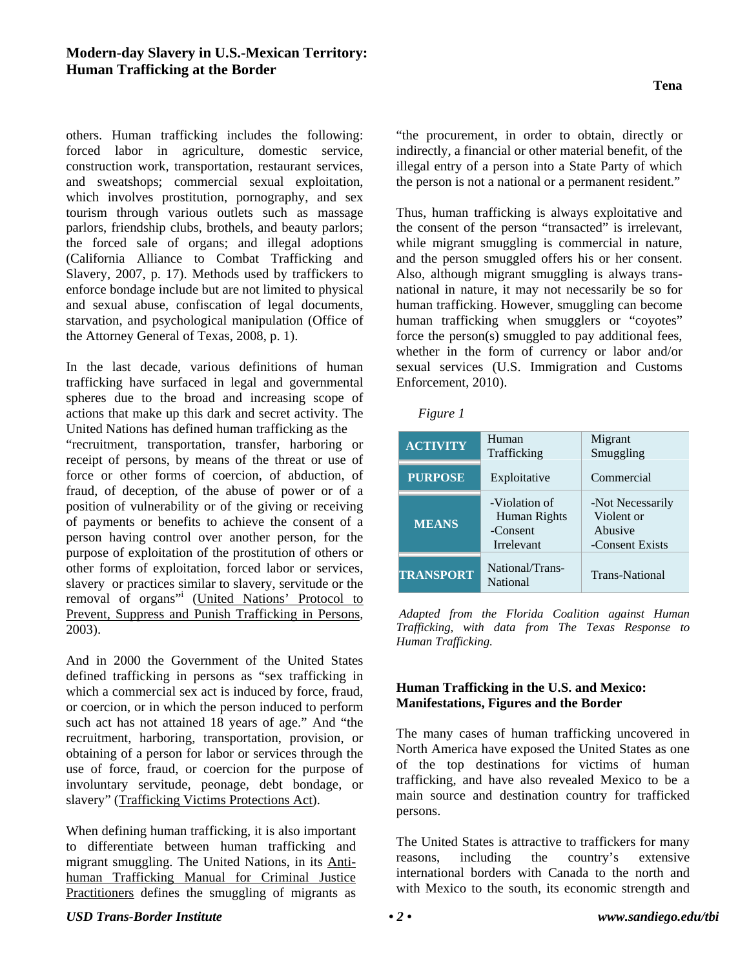## **Modern-day Slavery in U.S.-Mexican Territory: Human Trafficking at the Border**

others. Human trafficking includes the following: forced labor in agriculture, domestic service, construction work, transportation, restaurant services, and sweatshops; commercial sexual exploitation, which involves prostitution, pornography, and sex tourism through various outlets such as massage parlors, friendship clubs, brothels, and beauty parlors; the forced sale of organs; and illegal adoptions (California Alliance to Combat Trafficking and Slavery, 2007, p. 17). Methods used by traffickers to enforce bondage include but are not limited to physical and sexual abuse, confiscation of legal documents, starvation, and psychological manipulation (Office of the Attorney General of Texas, 2008, p. 1).

In the last decade, various definitions of human trafficking have surfaced in legal and governmental spheres due to the broad and increasing scope of actions that make up this dark and secret activity. The United Nations has defined human trafficking as the "recruitment, transportation, transfer, harboring or receipt of persons, by means of the threat or use of force or other forms of coercion, of abduction, of fraud, of deception, of the abuse of power or of a position of vulnerability or of the giving or receiving of payments or benefits to achieve the consent of a person having control over another person, for the purpose of exploitation of the prostitution of others or other forms of exploitation, forced labor or services, slavery or practices similar to slavery, servitude or the removal of organs" (United Nations' Protocol to Prevent, Suppress and Punish Trafficking in Persons, 2003).

And in 2000 the Government of the United States defined trafficking in persons as "sex trafficking in which a commercial sex act is induced by force, fraud, or coercion, or in which the person induced to perform such act has not attained 18 years of age." And "the recruitment, harboring, transportation, provision, or obtaining of a person for labor or services through the use of force, fraud, or coercion for the purpose of involuntary servitude, peonage, debt bondage, or slavery" (Trafficking Victims Protections Act).

When defining human trafficking, it is also important to differentiate between human trafficking and migrant smuggling. The United Nations, in its Antihuman Trafficking Manual for Criminal Justice Practitioners defines the smuggling of migrants as

"the procurement, in order to obtain, directly or indirectly, a financial or other material benefit, of the illegal entry of a person into a State Party of which the person is not a national or a permanent resident."

Thus, human trafficking is always exploitative and the consent of the person "transacted" is irrelevant, while migrant smuggling is commercial in nature, and the person smuggled offers his or her consent. Also, although migrant smuggling is always transnational in nature, it may not necessarily be so for human trafficking. However, smuggling can become human trafficking when smugglers or "coyotes" force the person(s) smuggled to pay additional fees, whether in the form of currency or labor and/or sexual services (U.S. Immigration and Customs Enforcement, 2010).

|--|--|--|

| <b>ACTIVITY</b>  | Human<br>Trafficking                                    | Migrant<br>Smuggling                                         |
|------------------|---------------------------------------------------------|--------------------------------------------------------------|
| <b>PURPOSE</b>   | Exploitative                                            | Commercial                                                   |
| <b>MEANS</b>     | -Violation of<br>Human Rights<br>-Consent<br>Irrelevant | -Not Necessarily<br>Violent or<br>Abusive<br>-Consent Exists |
| <b>TRANSPORT</b> | National/Trans-<br>National                             | <b>Trans-National</b>                                        |

*Adapted from the Florida Coalition against Human Trafficking, with data from The Texas Response to Human Trafficking.* 

# **Human Trafficking in the U.S. and Mexico: Manifestations, Figures and the Border**

The many cases of human trafficking uncovered in North America have exposed the United States as one of the top destinations for victims of human trafficking, and have also revealed Mexico to be a main source and destination country for trafficked persons.

The United States is attractive to traffickers for many reasons, including the country's extensive international borders with Canada to the north and with Mexico to the south, its economic strength and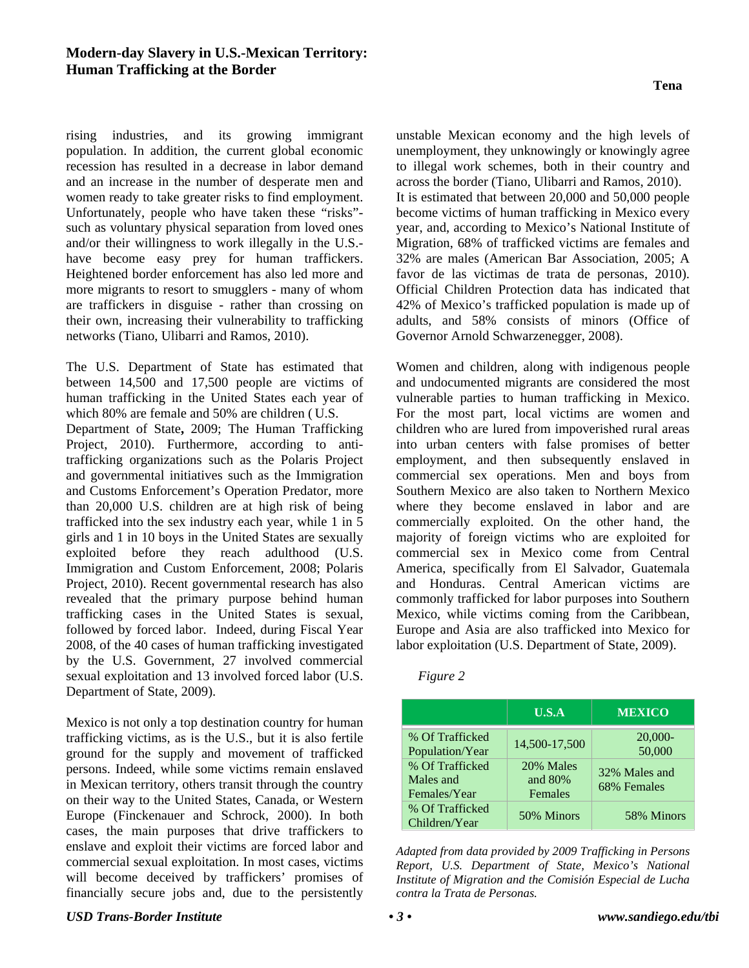rising industries, and its growing immigrant population. In addition, the current global economic recession has resulted in a decrease in labor demand and an increase in the number of desperate men and women ready to take greater risks to find employment. Unfortunately, people who have taken these "risks" such as voluntary physical separation from loved ones and/or their willingness to work illegally in the U.S. have become easy prey for human traffickers. Heightened border enforcement has also led more and more migrants to resort to smugglers - many of whom are traffickers in disguise - rather than crossing on their own, increasing their vulnerability to trafficking networks (Tiano, Ulibarri and Ramos, 2010).

The U.S. Department of State has estimated that between 14,500 and 17,500 people are victims of human trafficking in the United States each year of which 80% are female and 50% are children ( U.S.

Department of State**,** 2009; The Human Trafficking Project, 2010). Furthermore, according to antitrafficking organizations such as the Polaris Project and governmental initiatives such as the Immigration and Customs Enforcement's Operation Predator, more than 20,000 U.S. children are at high risk of being trafficked into the sex industry each year, while 1 in 5 girls and 1 in 10 boys in the United States are sexually exploited before they reach adulthood (U.S. Immigration and Custom Enforcement, 2008; Polaris Project, 2010). Recent governmental research has also revealed that the primary purpose behind human trafficking cases in the United States is sexual, followed by forced labor. Indeed, during Fiscal Year 2008, of the 40 cases of human trafficking investigated by the U.S. Government, 27 involved commercial sexual exploitation and 13 involved forced labor (U.S. Department of State, 2009).

Mexico is not only a top destination country for human trafficking victims, as is the U.S., but it is also fertile ground for the supply and movement of trafficked persons. Indeed, while some victims remain enslaved in Mexican territory, others transit through the country on their way to the United States, Canada, or Western Europe (Finckenauer and Schrock, 2000). In both cases, the main purposes that drive traffickers to enslave and exploit their victims are forced labor and commercial sexual exploitation. In most cases, victims will become deceived by traffickers' promises of financially secure jobs and, due to the persistently

unstable Mexican economy and the high levels of unemployment, they unknowingly or knowingly agree to illegal work schemes, both in their country and across the border (Tiano, Ulibarri and Ramos, 2010). It is estimated that between 20,000 and 50,000 people become victims of human trafficking in Mexico every year, and, according to Mexico's National Institute of Migration, 68% of trafficked victims are females and 32% are males (American Bar Association, 2005; A favor de las victimas de trata de personas, 2010). Official Children Protection data has indicated that 42% of Mexico's trafficked population is made up of adults, and 58% consists of minors (Office of Governor Arnold Schwarzenegger, 2008).

Women and children, along with indigenous people and undocumented migrants are considered the most vulnerable parties to human trafficking in Mexico. For the most part, local victims are women and children who are lured from impoverished rural areas into urban centers with false promises of better employment, and then subsequently enslaved in commercial sex operations. Men and boys from Southern Mexico are also taken to Northern Mexico where they become enslaved in labor and are commercially exploited. On the other hand, the majority of foreign victims who are exploited for commercial sex in Mexico come from Central America, specifically from El Salvador, Guatemala and Honduras. Central American victims are commonly trafficked for labor purposes into Southern Mexico, while victims coming from the Caribbean, Europe and Asia are also trafficked into Mexico for labor exploitation (U.S. Department of State, 2009).

|                                                                                    | U.S.A                                            | <b>MEXICO</b>                                       |
|------------------------------------------------------------------------------------|--------------------------------------------------|-----------------------------------------------------|
| % Of Trafficked<br>Population/Year<br>% Of Trafficked<br>Males and<br>Females/Year | 14,500-17,500<br>20% Males<br>and 80%<br>Females | $20,000-$<br>50,000<br>32% Males and<br>68% Females |
| % Of Trafficked<br>Children/Year                                                   | 50% Minors                                       | 58% Minors                                          |

*Adapted from data provided by 2009 Trafficking in Persons Report, U.S. Department of State, Mexico's National Institute of Migration and the Comisión Especial de Lucha contra la Trata de Personas.* 

*Figure 2*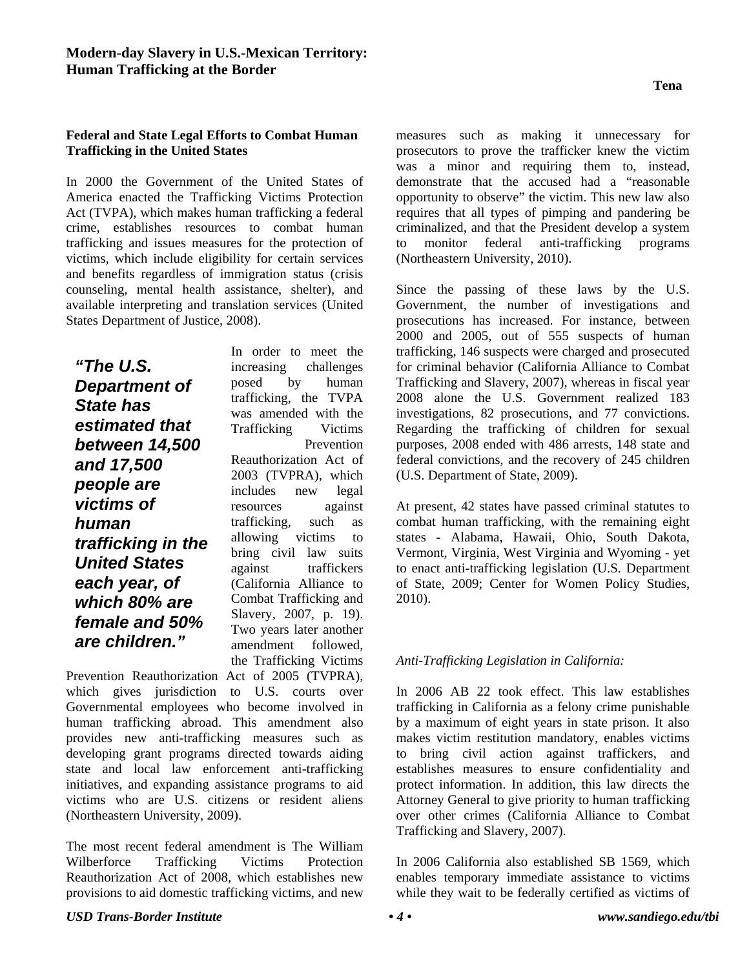## **Federal and State Legal Efforts to Combat Human Trafficking in the United States**

In 2000 the Government of the United States of America enacted the Trafficking Victims Protection Act (TVPA), which makes human trafficking a federal crime, establishes resources to combat human trafficking and issues measures for the protection of victims, which include eligibility for certain services and benefits regardless of immigration status (crisis counseling, mental health assistance, shelter), and available interpreting and translation services (United States Department of Justice, 2008).

*"The U.S. Department of State has estimated that between 14,500 and 17,500 people are victims of human trafficking in the United States each year, of which 80% are female and 50% are children."* 

In order to meet the increasing challenges posed by human trafficking, the TVPA was amended with the Trafficking Victims Prevention Reauthorization Act of 2003 (TVPRA), which includes new legal resources against trafficking, such as allowing victims to bring civil law suits against traffickers (California Alliance to Combat Trafficking and Slavery, 2007, p. 19). Two years later another amendment followed, the Trafficking Victims

Prevention Reauthorization Act of 2005 (TVPRA), which gives jurisdiction to U.S. courts over Governmental employees who become involved in human trafficking abroad. This amendment also provides new anti-trafficking measures such as developing grant programs directed towards aiding state and local law enforcement anti-trafficking initiatives, and expanding assistance programs to aid victims who are U.S. citizens or resident aliens (Northeastern University, 2009).

The most recent federal amendment is The William Wilberforce Trafficking Victims Protection Reauthorization Act of 2008, which establishes new provisions to aid domestic trafficking victims, and new

measures such as making it unnecessary for prosecutors to prove the trafficker knew the victim was a minor and requiring them to, instead, demonstrate that the accused had a "reasonable opportunity to observe" the victim. This new law also requires that all types of pimping and pandering be criminalized, and that the President develop a system to monitor federal anti-trafficking programs (Northeastern University, 2010).

Since the passing of these laws by the U.S. Government, the number of investigations and prosecutions has increased. For instance, between 2000 and 2005, out of 555 suspects of human trafficking, 146 suspects were charged and prosecuted for criminal behavior (California Alliance to Combat Trafficking and Slavery, 2007), whereas in fiscal year 2008 alone the U.S. Government realized 183 investigations, 82 prosecutions, and 77 convictions. Regarding the trafficking of children for sexual purposes, 2008 ended with 486 arrests, 148 state and federal convictions, and the recovery of 245 children (U.S. Department of State, 2009).

At present, 42 states have passed criminal statutes to combat human trafficking, with the remaining eight states - Alabama, Hawaii, Ohio, South Dakota, Vermont, Virginia, West Virginia and Wyoming - yet to enact anti-trafficking legislation (U.S. Department of State, 2009; Center for Women Policy Studies, 2010).

## *Anti-Trafficking Legislation in California:*

In 2006 AB 22 took effect. This law establishes trafficking in California as a felony crime punishable by a maximum of eight years in state prison. It also makes victim restitution mandatory, enables victims to bring civil action against traffickers, and establishes measures to ensure confidentiality and protect information. In addition, this law directs the Attorney General to give priority to human trafficking over other crimes (California Alliance to Combat Trafficking and Slavery, 2007).

In 2006 California also established SB 1569, which enables temporary immediate assistance to victims while they wait to be federally certified as victims of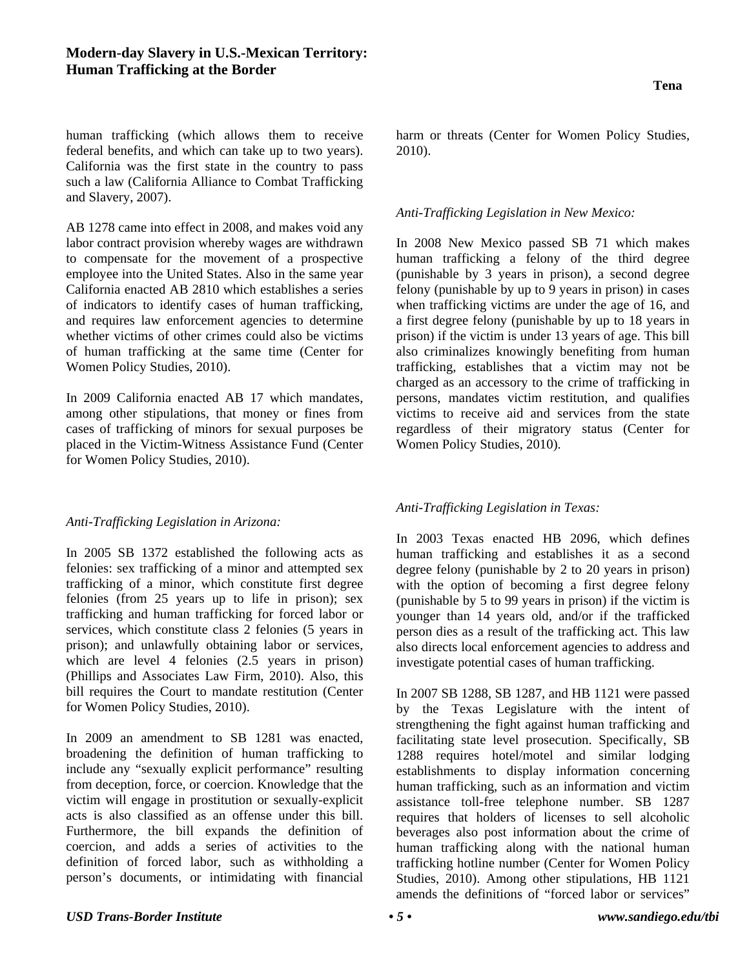human trafficking (which allows them to receive federal benefits, and which can take up to two years). California was the first state in the country to pass such a law (California Alliance to Combat Trafficking and Slavery, 2007).

AB 1278 came into effect in 2008, and makes void any labor contract provision whereby wages are withdrawn to compensate for the movement of a prospective employee into the United States. Also in the same year California enacted AB 2810 which establishes a series of indicators to identify cases of human trafficking, and requires law enforcement agencies to determine whether victims of other crimes could also be victims of human trafficking at the same time (Center for Women Policy Studies, 2010).

In 2009 California enacted AB 17 which mandates, among other stipulations, that money or fines from cases of trafficking of minors for sexual purposes be placed in the Victim-Witness Assistance Fund (Center for Women Policy Studies, 2010).

*Anti-Trafficking Legislation in Arizona:* 

In 2005 SB 1372 established the following acts as felonies: sex trafficking of a minor and attempted sex trafficking of a minor, which constitute first degree felonies (from 25 years up to life in prison); sex trafficking and human trafficking for forced labor or services, which constitute class 2 felonies (5 years in prison); and unlawfully obtaining labor or services, which are level 4 felonies (2.5 years in prison) (Phillips and Associates Law Firm, 2010). Also, this bill requires the Court to mandate restitution (Center for Women Policy Studies, 2010).

In 2009 an amendment to SB 1281 was enacted, broadening the definition of human trafficking to include any "sexually explicit performance" resulting from deception, force, or coercion. Knowledge that the victim will engage in prostitution or sexually-explicit acts is also classified as an offense under this bill. Furthermore, the bill expands the definition of coercion, and adds a series of activities to the definition of forced labor, such as withholding a person's documents, or intimidating with financial harm or threats (Center for Women Policy Studies, 2010).

## *Anti-Trafficking Legislation in New Mexico:*

In 2008 New Mexico passed SB 71 which makes human trafficking a felony of the third degree (punishable by 3 years in prison), a second degree felony (punishable by up to 9 years in prison) in cases when trafficking victims are under the age of 16, and a first degree felony (punishable by up to 18 years in prison) if the victim is under 13 years of age. This bill also criminalizes knowingly benefiting from human trafficking, establishes that a victim may not be charged as an accessory to the crime of trafficking in persons, mandates victim restitution, and qualifies victims to receive aid and services from the state regardless of their migratory status (Center for Women Policy Studies, 2010).

# *Anti-Trafficking Legislation in Texas:*

In 2003 Texas enacted HB 2096, which defines human trafficking and establishes it as a second degree felony (punishable by 2 to 20 years in prison) with the option of becoming a first degree felony (punishable by 5 to 99 years in prison) if the victim is younger than 14 years old, and/or if the trafficked person dies as a result of the trafficking act. This law also directs local enforcement agencies to address and investigate potential cases of human trafficking.

In 2007 SB 1288, SB 1287, and HB 1121 were passed by the Texas Legislature with the intent of strengthening the fight against human trafficking and facilitating state level prosecution. Specifically, SB 1288 requires hotel/motel and similar lodging establishments to display information concerning human trafficking, such as an information and victim assistance toll-free telephone number. SB 1287 requires that holders of licenses to sell alcoholic beverages also post information about the crime of human trafficking along with the national human trafficking hotline number (Center for Women Policy Studies, 2010). Among other stipulations, HB 1121 amends the definitions of "forced labor or services"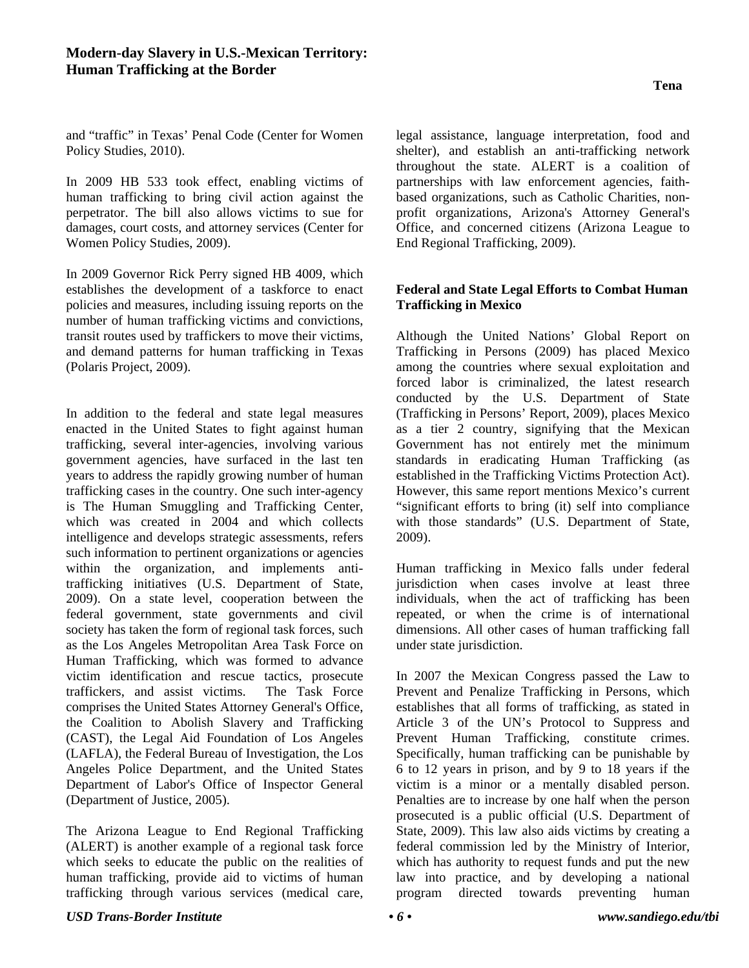and "traffic" in Texas' Penal Code (Center for Women Policy Studies, 2010).

In 2009 HB 533 took effect, enabling victims of human trafficking to bring civil action against the perpetrator. The bill also allows victims to sue for damages, court costs, and attorney services (Center for Women Policy Studies, 2009).

In 2009 Governor Rick Perry signed HB 4009, which establishes the development of a taskforce to enact policies and measures, including issuing reports on the number of human trafficking victims and convictions, transit routes used by traffickers to move their victims, and demand patterns for human trafficking in Texas (Polaris Project, 2009).

In addition to the federal and state legal measures enacted in the United States to fight against human trafficking, several inter-agencies, involving various government agencies, have surfaced in the last ten years to address the rapidly growing number of human trafficking cases in the country. One such inter-agency is The Human Smuggling and Trafficking Center, which was created in 2004 and which collects intelligence and develops strategic assessments, refers such information to pertinent organizations or agencies within the organization, and implements antitrafficking initiatives (U.S. Department of State, 2009). On a state level, cooperation between the federal government, state governments and civil society has taken the form of regional task forces, such as the Los Angeles Metropolitan Area Task Force on Human Trafficking, which was formed to advance victim identification and rescue tactics, prosecute traffickers, and assist victims. The Task Force comprises the United States Attorney General's Office, the Coalition to Abolish Slavery and Trafficking (CAST), the Legal Aid Foundation of Los Angeles (LAFLA), the Federal Bureau of Investigation, the Los Angeles Police Department, and the United States Department of Labor's Office of Inspector General (Department of Justice, 2005).

The Arizona League to End Regional Trafficking (ALERT) is another example of a regional task force which seeks to educate the public on the realities of human trafficking, provide aid to victims of human trafficking through various services (medical care,

legal assistance, language interpretation, food and shelter), and establish an anti-trafficking network throughout the state. ALERT is a coalition of partnerships with law enforcement agencies, faithbased organizations, such as Catholic Charities, nonprofit organizations, Arizona's Attorney General's Office, and concerned citizens (Arizona League to End Regional Trafficking, 2009).

## **Federal and State Legal Efforts to Combat Human Trafficking in Mexico**

Although the United Nations' Global Report on Trafficking in Persons (2009) has placed Mexico among the countries where sexual exploitation and forced labor is criminalized, the latest research conducted by the U.S. Department of State (Trafficking in Persons' Report, 2009), places Mexico as a tier 2 country, signifying that the Mexican Government has not entirely met the minimum standards in eradicating Human Trafficking (as established in the Trafficking Victims Protection Act). However, this same report mentions Mexico's current "significant efforts to bring (it) self into compliance with those standards" (U.S. Department of State, 2009).

Human trafficking in Mexico falls under federal jurisdiction when cases involve at least three individuals, when the act of trafficking has been repeated, or when the crime is of international dimensions. All other cases of human trafficking fall under state jurisdiction.

In 2007 the Mexican Congress passed the Law to Prevent and Penalize Trafficking in Persons, which establishes that all forms of trafficking, as stated in Article 3 of the UN's Protocol to Suppress and Prevent Human Trafficking, constitute crimes. Specifically, human trafficking can be punishable by 6 to 12 years in prison, and by 9 to 18 years if the victim is a minor or a mentally disabled person. Penalties are to increase by one half when the person prosecuted is a public official (U.S. Department of State, 2009). This law also aids victims by creating a federal commission led by the Ministry of Interior, which has authority to request funds and put the new law into practice, and by developing a national program directed towards preventing human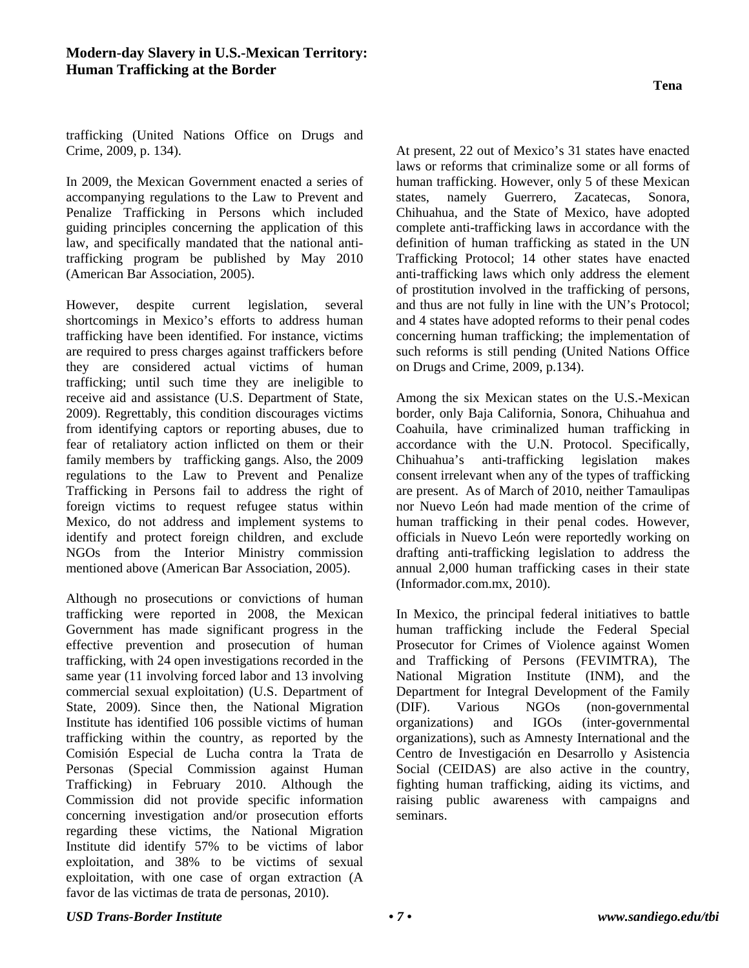**Tena** 

trafficking (United Nations Office on Drugs and Crime, 2009, p. 134).

In 2009, the Mexican Government enacted a series of accompanying regulations to the Law to Prevent and Penalize Trafficking in Persons which included guiding principles concerning the application of this law, and specifically mandated that the national antitrafficking program be published by May 2010 (American Bar Association, 2005).

However, despite current legislation, several shortcomings in Mexico's efforts to address human trafficking have been identified. For instance, victims are required to press charges against traffickers before they are considered actual victims of human trafficking; until such time they are ineligible to receive aid and assistance (U.S. Department of State, 2009). Regrettably, this condition discourages victims from identifying captors or reporting abuses, due to fear of retaliatory action inflicted on them or their family members by trafficking gangs. Also, the 2009 regulations to the Law to Prevent and Penalize Trafficking in Persons fail to address the right of foreign victims to request refugee status within Mexico, do not address and implement systems to identify and protect foreign children, and exclude NGOs from the Interior Ministry commission mentioned above (American Bar Association, 2005).

Although no prosecutions or convictions of human trafficking were reported in 2008, the Mexican Government has made significant progress in the effective prevention and prosecution of human trafficking, with 24 open investigations recorded in the same year (11 involving forced labor and 13 involving commercial sexual exploitation) (U.S. Department of State, 2009). Since then, the National Migration Institute has identified 106 possible victims of human trafficking within the country, as reported by the Comisión Especial de Lucha contra la Trata de Personas (Special Commission against Human Trafficking) in February 2010. Although the Commission did not provide specific information concerning investigation and/or prosecution efforts regarding these victims, the National Migration Institute did identify 57% to be victims of labor exploitation, and 38% to be victims of sexual exploitation, with one case of organ extraction (A favor de las victimas de trata de personas, 2010).

At present, 22 out of Mexico's 31 states have enacted laws or reforms that criminalize some or all forms of human trafficking. However, only 5 of these Mexican states, namely Guerrero, Zacatecas, Sonora, Chihuahua, and the State of Mexico, have adopted complete anti-trafficking laws in accordance with the definition of human trafficking as stated in the UN Trafficking Protocol; 14 other states have enacted anti-trafficking laws which only address the element of prostitution involved in the trafficking of persons, and thus are not fully in line with the UN's Protocol; and 4 states have adopted reforms to their penal codes concerning human trafficking; the implementation of such reforms is still pending (United Nations Office on Drugs and Crime, 2009, p.134).

Among the six Mexican states on the U.S.-Mexican border, only Baja California, Sonora, Chihuahua and Coahuila, have criminalized human trafficking in accordance with the U.N. Protocol. Specifically, Chihuahua's anti-trafficking legislation makes consent irrelevant when any of the types of trafficking are present. As of March of 2010, neither Tamaulipas nor Nuevo León had made mention of the crime of human trafficking in their penal codes. However, officials in Nuevo León were reportedly working on drafting anti-trafficking legislation to address the annual 2,000 human trafficking cases in their state (Informador.com.mx, 2010).

In Mexico, the principal federal initiatives to battle human trafficking include the Federal Special Prosecutor for Crimes of Violence against Women and Trafficking of Persons (FEVIMTRA), The National Migration Institute (INM), and the Department for Integral Development of the Family (DIF). Various NGOs (non-governmental organizations) and IGOs (inter-governmental organizations), such as Amnesty International and the Centro de Investigación en Desarrollo y Asistencia Social (CEIDAS) are also active in the country, fighting human trafficking, aiding its victims, and raising public awareness with campaigns and seminars.

#### *USD Trans-Border Institute • 7 • www.sandiego.edu/tbi*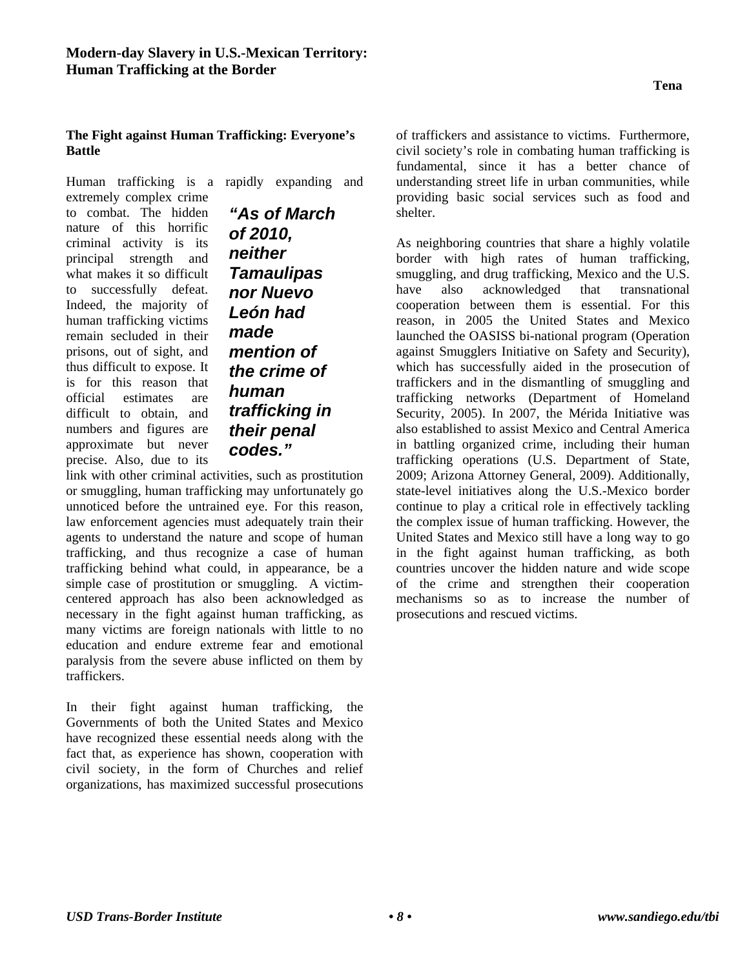## **Tena**

## **The Fight against Human Trafficking: Everyone's Battle**

Human trafficking is a rapidly expanding and

extremely complex crime to combat. The hidden nature of this horrific criminal activity is its principal strength and what makes it so difficult to successfully defeat. Indeed, the majority of human trafficking victims remain secluded in their prisons, out of sight, and thus difficult to expose. It is for this reason that official estimates are difficult to obtain, and numbers and figures are approximate but never precise. Also, due to its

*"As of March of 2010, neither Tamaulipas nor Nuevo León had made mention of the crime of human trafficking in their penal codes."*

link with other criminal activities, such as prostitution or smuggling, human trafficking may unfortunately go unnoticed before the untrained eye. For this reason, law enforcement agencies must adequately train their agents to understand the nature and scope of human trafficking, and thus recognize a case of human trafficking behind what could, in appearance, be a simple case of prostitution or smuggling. A victimcentered approach has also been acknowledged as necessary in the fight against human trafficking, as many victims are foreign nationals with little to no education and endure extreme fear and emotional paralysis from the severe abuse inflicted on them by traffickers.

In their fight against human trafficking, the Governments of both the United States and Mexico have recognized these essential needs along with the fact that, as experience has shown, cooperation with civil society, in the form of Churches and relief organizations, has maximized successful prosecutions

of traffickers and assistance to victims. Furthermore, civil society's role in combating human trafficking is fundamental, since it has a better chance of understanding street life in urban communities, while providing basic social services such as food and shelter.

As neighboring countries that share a highly volatile border with high rates of human trafficking, smuggling, and drug trafficking, Mexico and the U.S. have also acknowledged that transnational cooperation between them is essential. For this reason, in 2005 the United States and Mexico launched the OASISS bi-national program (Operation against Smugglers Initiative on Safety and Security), which has successfully aided in the prosecution of traffickers and in the dismantling of smuggling and trafficking networks (Department of Homeland Security, 2005). In 2007, the Mérida Initiative was also established to assist Mexico and Central America in battling organized crime, including their human trafficking operations (U.S. Department of State, 2009; Arizona Attorney General, 2009). Additionally, state-level initiatives along the U.S.-Mexico border continue to play a critical role in effectively tackling the complex issue of human trafficking. However, the United States and Mexico still have a long way to go in the fight against human trafficking, as both countries uncover the hidden nature and wide scope of the crime and strengthen their cooperation mechanisms so as to increase the number of prosecutions and rescued victims.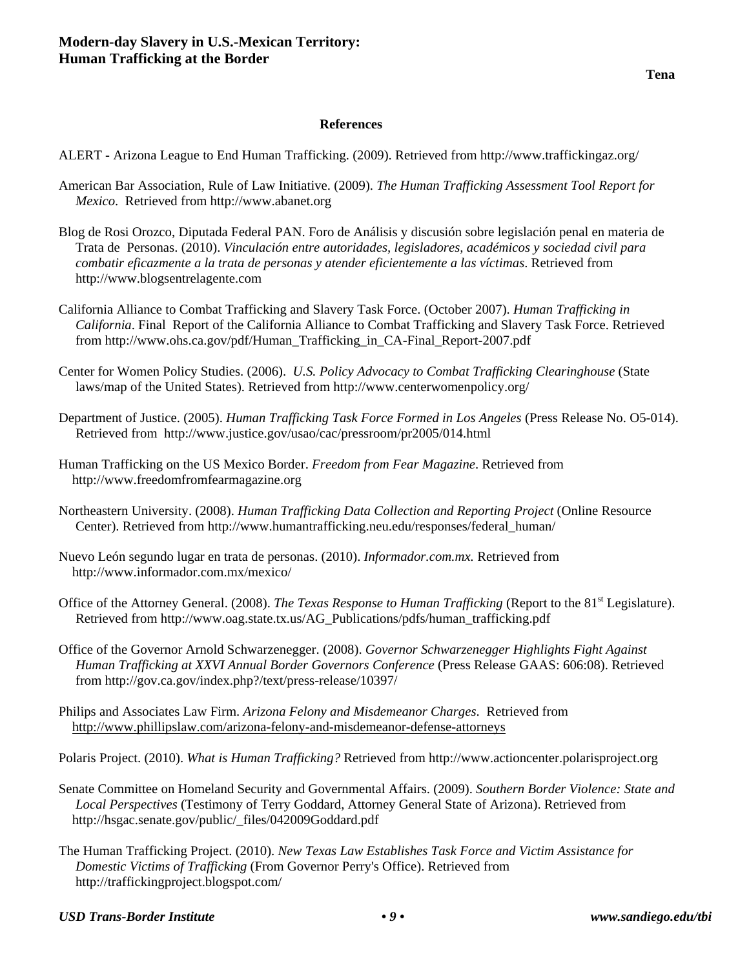### **References**

ALERT - Arizona League to End Human Trafficking. (2009). Retrieved from http://www.traffickingaz.org/

- American Bar Association, Rule of Law Initiative. (2009). *The Human Trafficking Assessment Tool Report for Mexico*. Retrieved from http://www.abanet.org
- Blog de Rosi Orozco, Diputada Federal PAN. Foro de Análisis y discusión sobre legislación penal en materia de Trata de Personas. (2010). *Vinculación entre autoridades, legisladores, académicos y sociedad civil para combatir eficazmente a la trata de personas y atender eficientemente a las víctimas*. Retrieved from http://www.blogsentrelagente.com
- California Alliance to Combat Trafficking and Slavery Task Force. (October 2007). *Human Trafficking in California*. Final Report of the California Alliance to Combat Trafficking and Slavery Task Force. Retrieved from http://www.ohs.ca.gov/pdf/Human\_Trafficking\_in\_CA-Final\_Report-2007.pdf
- Center for Women Policy Studies. (2006). *U.S. Policy Advocacy to Combat Trafficking Clearinghouse* (State laws/map of the United States). Retrieved from http://www.centerwomenpolicy.org/
- Department of Justice. (2005). *Human Trafficking Task Force Formed in Los Angeles* (Press Release No. O5-014). Retrieved from http://www.justice.gov/usao/cac/pressroom/pr2005/014.html
- Human Trafficking on the US Mexico Border. *Freedom from Fear Magazine*. Retrieved from http://www.freedomfromfearmagazine.org
- Northeastern University. (2008). *Human Trafficking Data Collection and Reporting Project* (Online Resource Center). Retrieved from http://www.humantrafficking.neu.edu/responses/federal\_human/
- Nuevo León segundo lugar en trata de personas. (2010). *Informador.com.mx.* Retrieved fromhttp://www.informador.com.mx/mexico/
- Office of the Attorney General. (2008). *The Texas Response to Human Trafficking* (Report to the 81<sup>st</sup> Legislature). Retrieved from http://www.oag.state.tx.us/AG\_Publications/pdfs/human\_trafficking.pdf
- Office of the Governor Arnold Schwarzenegger. (2008). *Governor Schwarzenegger Highlights Fight Against Human Trafficking at XXVI Annual Border Governors Conference* (Press Release GAAS: 606:08). Retrieved from http://gov.ca.gov/index.php?/text/press-release/10397/
- Philips and Associates Law Firm. *Arizona Felony and Misdemeanor Charges*. Retrieved from http://www.phillipslaw.com/arizona-felony-and-misdemeanor-defense-attorneys
- Polaris Project. (2010). *What is Human Trafficking?* Retrieved from http://www.actioncenter.polarisproject.org
- Senate Committee on Homeland Security and Governmental Affairs. (2009). *Southern Border Violence: State and Local Perspectives* (Testimony of Terry Goddard, Attorney General State of Arizona). Retrieved from http://hsgac.senate.gov/public/\_files/042009Goddard.pdf
- The Human Trafficking Project. (2010). *New Texas Law Establishes Task Force and Victim Assistance for Domestic Victims of Trafficking* (From Governor Perry's Office). Retrieved from http://traffickingproject.blogspot.com/